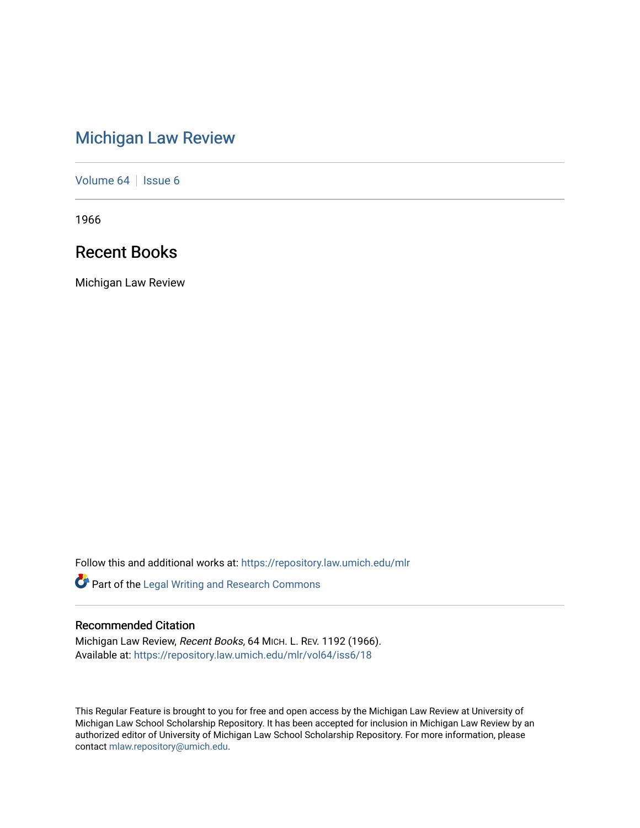# [Michigan Law Review](https://repository.law.umich.edu/mlr)

[Volume 64](https://repository.law.umich.edu/mlr/vol64) | [Issue 6](https://repository.law.umich.edu/mlr/vol64/iss6)

1966

# Recent Books

Michigan Law Review

Follow this and additional works at: [https://repository.law.umich.edu/mlr](https://repository.law.umich.edu/mlr?utm_source=repository.law.umich.edu%2Fmlr%2Fvol64%2Fiss6%2F18&utm_medium=PDF&utm_campaign=PDFCoverPages) 

Part of the [Legal Writing and Research Commons](http://network.bepress.com/hgg/discipline/614?utm_source=repository.law.umich.edu%2Fmlr%2Fvol64%2Fiss6%2F18&utm_medium=PDF&utm_campaign=PDFCoverPages) 

# Recommended Citation

Michigan Law Review, Recent Books, 64 MICH. L. REV. 1192 (1966). Available at: [https://repository.law.umich.edu/mlr/vol64/iss6/18](https://repository.law.umich.edu/mlr/vol64/iss6/18?utm_source=repository.law.umich.edu%2Fmlr%2Fvol64%2Fiss6%2F18&utm_medium=PDF&utm_campaign=PDFCoverPages) 

This Regular Feature is brought to you for free and open access by the Michigan Law Review at University of Michigan Law School Scholarship Repository. It has been accepted for inclusion in Michigan Law Review by an authorized editor of University of Michigan Law School Scholarship Repository. For more information, please contact [mlaw.repository@umich.edu](mailto:mlaw.repository@umich.edu).